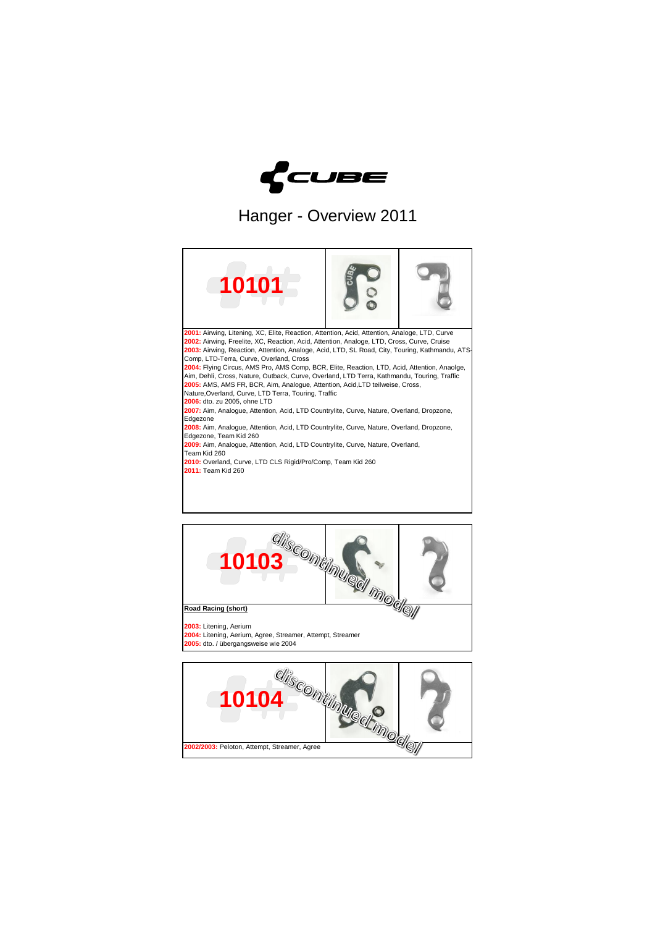

Hanger - Overview 2011

| 10101                                                                                                                                                                                                                                                                                                                                                                                                                                                                                                                                                                                                                                                                                                                                                                                                                                                                                                                                                                                                                                                                                                                                    |  |  |
|------------------------------------------------------------------------------------------------------------------------------------------------------------------------------------------------------------------------------------------------------------------------------------------------------------------------------------------------------------------------------------------------------------------------------------------------------------------------------------------------------------------------------------------------------------------------------------------------------------------------------------------------------------------------------------------------------------------------------------------------------------------------------------------------------------------------------------------------------------------------------------------------------------------------------------------------------------------------------------------------------------------------------------------------------------------------------------------------------------------------------------------|--|--|
| 2001: Airwing, Litening, XC, Elite, Reaction, Attention, Acid, Attention, Analoge, LTD, Curve<br>2002: Airwing, Freelite, XC, Reaction, Acid, Attention, Analoge, LTD, Cross, Curve, Cruise<br>2003: Airwing, Reaction, Attention, Analoge, Acid, LTD, SL Road, City, Touring, Kathmandu, ATS<br>Comp, LTD-Terra, Curve, Overland, Cross<br>2004: Flying Circus, AMS Pro, AMS Comp, BCR, Elite, Reaction, LTD, Acid, Attention, Anaolge,<br>Aim, Dehli, Cross, Nature, Outback, Curve, Overland, LTD Terra, Kathmandu, Touring, Traffic<br>2005: AMS, AMS FR, BCR, Aim, Analogue, Attention, Acid, LTD teilweise, Cross,<br>Nature, Overland, Curve, LTD Terra, Touring, Traffic<br>2006: dto. zu 2005, ohne LTD<br>2007: Aim, Analoque, Attention, Acid, LTD Countrylite, Curve, Nature, Overland, Dropzone,<br>Edgezone<br>2008: Aim, Analogue, Attention, Acid, LTD Countrylite, Curve, Nature, Overland, Dropzone,<br>Edgezone, Team Kid 260<br>2009: Aim, Analogue, Attention, Acid, LTD Countrylite, Curve, Nature, Overland,<br>Team Kid 260<br>2010: Overland, Curve, LTD CLS Rigid/Pro/Comp, Team Kid 260<br>2011: Team Kid 260 |  |  |
| <b>10103</b> Continued model<br>Road Racing (short)                                                                                                                                                                                                                                                                                                                                                                                                                                                                                                                                                                                                                                                                                                                                                                                                                                                                                                                                                                                                                                                                                      |  |  |

**2003:** Litening, Aerium **2004:** Litening, Aerium, Agree, Streamer, Attempt, Streamer **2005:** dto. / übergangsweise wie 2004



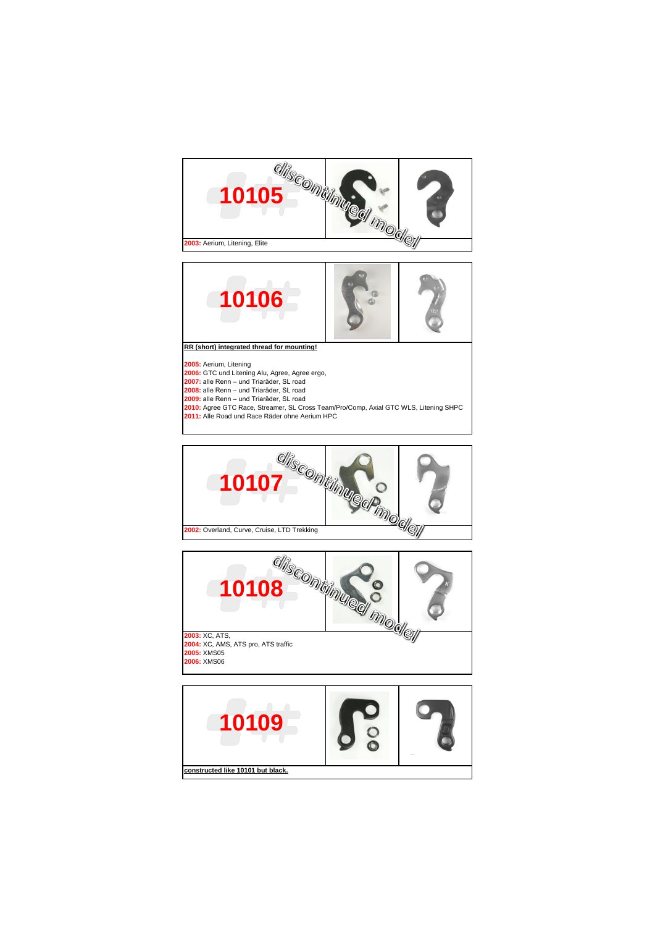



**RR (short) integrated thread for mounting!**

## **2005:** Aerium, Litening

- **2006:** GTC und Litening Alu, Agree, Agree ergo, **2007:** alle Renn und Triaräder, SL road
- 
- **2008:** alle Renn und Triaräder, SL road **2009:** alle Renn und Triaräder, SL road
- 

**2010:** Agree GTC Race, Streamer, SL Cross Team/Pro/Comp, Axial GTC WLS, Litening SHPC **2011:** Alle Road und Race Räder ohne Aerium HPC





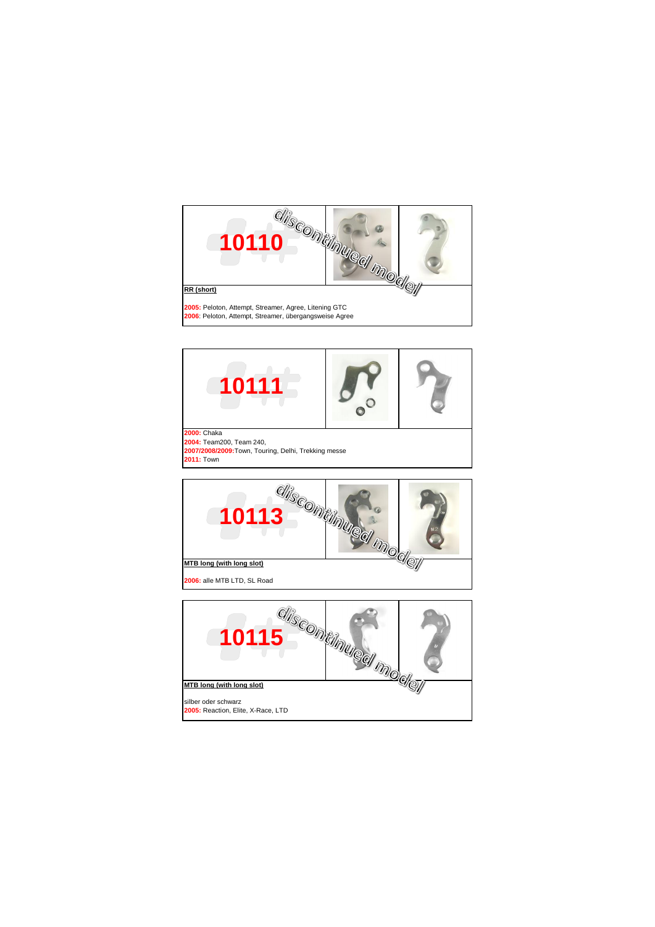

**2005:** Peloton, Attempt, Streamer, Agree, Litening GTC **2006**: Peloton, Attempt, Streamer, übergangsweise Agree



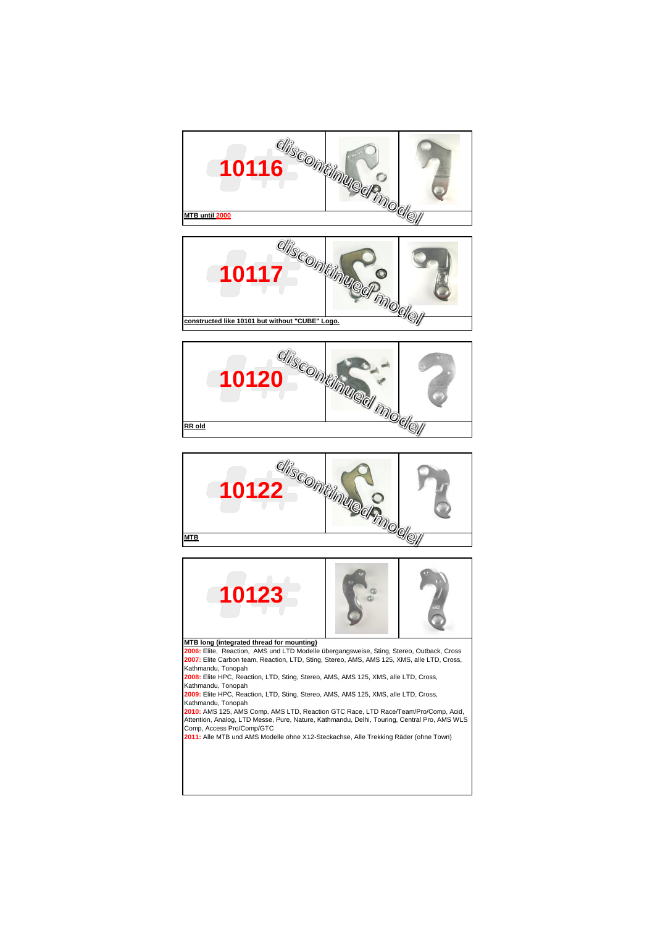







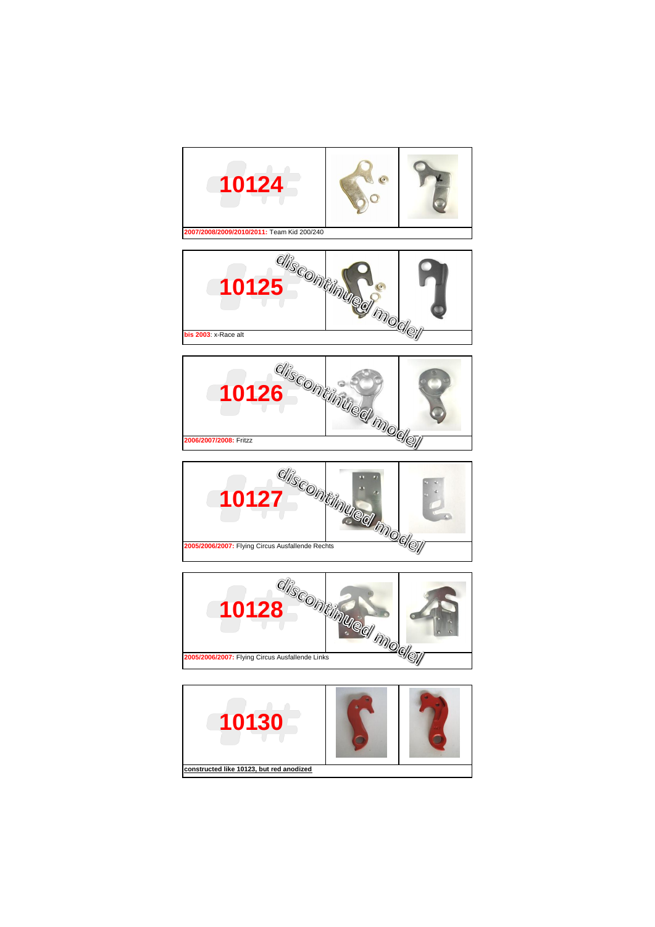









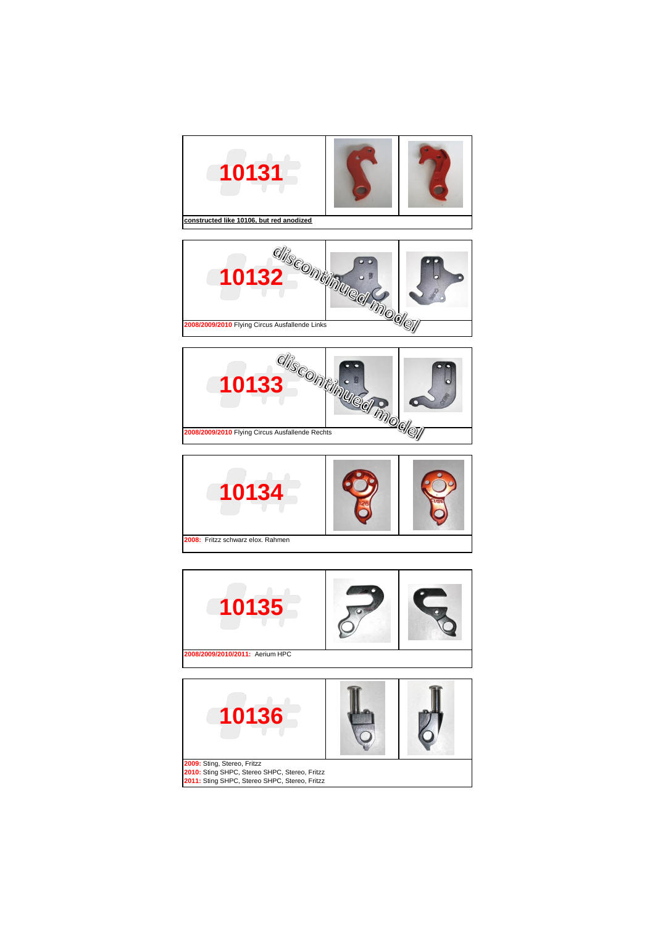









**2009:** Sting, Stereo, Fritzz **2010:** Sting SHPC, Stereo SHPC, Stereo, Fritzz **2011:** Sting SHPC, Stereo SHPC, Stereo, Fritzz